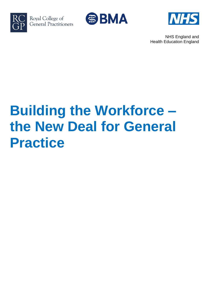

Royal College of General Practitioners





NHS England and Health Education England

# **Building the Workforce – the New Deal for General Practice**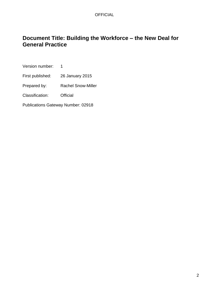## **Document Title: Building the Workforce – the New Deal for General Practice**

Version number: 1

First published: 26 January 2015

Prepared by: Rachel Snow-Miller

Classification: Official

Publications Gateway Number: 02918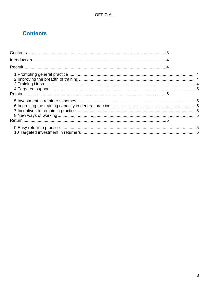## <span id="page-2-0"></span>**Contents**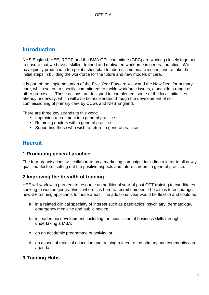## <span id="page-3-0"></span>**Introduction**

NHS England, HEE, RCGP and the BMA GPs committee (GPC) are working closely together to ensure that we have a skilled, trained and motivated workforce in general practice. We have jointly produced a ten point action plan to address immediate issues, and to take the initial steps in building the workforce for the future and new models of care.

It is part of the implementation of the Five Year Forward View and the New Deal for primary care, which set out a specific commitment to tackle workforce issues, alongside a range of other proposals. These actions are designed to complement some of the local initiatives already underway, which will also be accelerated through the development of cocommissioning of primary care by CCGs and NHS England.

There are three key strands to this work:

- Improving recruitment into general practice
- Retaining doctors within general practice
- Supporting those who wish to return to general practice

## <span id="page-3-1"></span>**Recruit**

#### <span id="page-3-2"></span>**1 Promoting general practice**

The four organisations will collaborate on a marketing campaign, including a letter to all newly qualified doctors, setting out the positive aspects and future careers in general practice.

#### <span id="page-3-3"></span>**2 Improving the breadth of training**

HEE will work with partners to resource an additional year of post CCT training to candidates seeking to work in geographies, where it is hard to recruit trainees. The aim is to encourage new GP training applicants to those areas. The additional year would be flexible and could be:

- a. in a related clinical specialty of interest such as paediatrics, psychiatry, dermatology, emergency medicine and public health;
- b. in leadership development, including the acquisition of business skills through undertaking a MBA;
- c. on an academic programme of activity; or
- d. an aspect of medical education and training related to the primary and community care agenda.

## <span id="page-3-4"></span>**3 Training Hubs**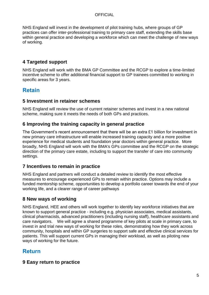#### **OFFICIAL**

NHS England will invest in the development of pilot training hubs, where groups of GP practices can offer inter-professional training to primary care staff, extending the skills base within general practice and developing a workforce which can meet the challenge of new ways of working.

## <span id="page-4-0"></span>**4 Targeted support**

NHS England will work with the BMA GP Committee and the RCGP to explore a time-limited incentive scheme to offer additional financial support to GP trainees committed to working in specific areas for 3 years.

## <span id="page-4-1"></span>**Retain**

#### <span id="page-4-2"></span>**5 Investment in retainer schemes**

NHS England will review the use of current retainer schemes and invest in a new national scheme, making sure it meets the needs of both GPs and practices.

## <span id="page-4-3"></span>**6 Improving the training capacity in general practice**

The Government's recent announcement that there will be an extra £1 billion for investment in new primary care infrastructure will enable increased training capacity and a more positive experience for medical students and foundation year doctors within general practice. More broadly, NHS England will work with the BMA's GPs committee and the RCGP on the strategic direction of the primary care estate, including to support the transfer of care into community settings.

## <span id="page-4-4"></span>**7 Incentives to remain in practice**

NHS England and partners will conduct a detailed review to identify the most effective measures to encourage experienced GPs to remain within practice. Options may include a funded mentorship scheme, opportunities to develop a portfolio career towards the end of your working life, and a clearer range of career pathways

## <span id="page-4-5"></span>**8 New ways of working**

NHS England, HEE and others will work together to identify key workforce initiatives that are known to support general practice - including e.g. physician associates, medical assistants, clinical pharmacists, advanced practitioners (including nursing staff), healthcare assistants and care navigators. We will agree a shared programme of key pilots at scale in primary care, to invest in and trial new ways of working for these roles, demonstrating how they work across community, hospitals and within GP surgeries to support safe and effective clinical services for patients. This will support current GPs in managing their workload, as well as piloting new ways of working for the future.

## <span id="page-4-6"></span>**Return**

## <span id="page-4-7"></span>**9 Easy return to practice**